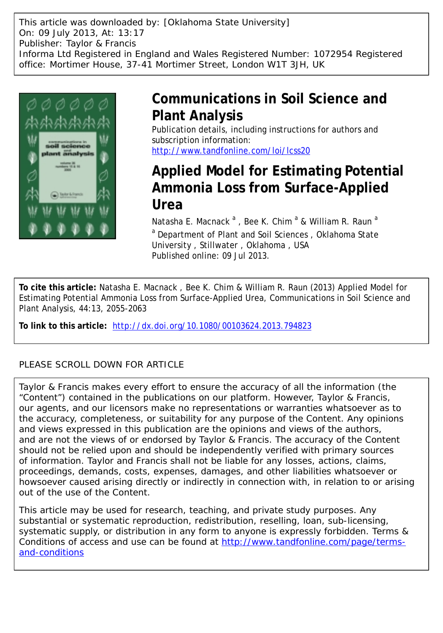This article was downloaded by: [Oklahoma State University] On: 09 July 2013, At: 13:17 Publisher: Taylor & Francis Informa Ltd Registered in England and Wales Registered Number: 1072954 Registered office: Mortimer House, 37-41 Mortimer Street, London W1T 3JH, UK



# **Communications in Soil Science and Plant Analysis**

Publication details, including instructions for authors and subscription information: <http://www.tandfonline.com/loi/lcss20>

# **Applied Model for Estimating Potential Ammonia Loss from Surface-Applied Urea**

Natasha E. Macnack <sup>a</sup>, Bee K. Chim <sup>a</sup> & William R. Raun <sup>a</sup> <sup>a</sup> Department of Plant and Soil Sciences, Oklahoma State University , Stillwater , Oklahoma , USA Published online: 09 Jul 2013.

**To cite this article:** Natasha E. Macnack , Bee K. Chim & William R. Raun (2013) Applied Model for Estimating Potential Ammonia Loss from Surface-Applied Urea, Communications in Soil Science and Plant Analysis, 44:13, 2055-2063

**To link to this article:** <http://dx.doi.org/10.1080/00103624.2013.794823>

# PLEASE SCROLL DOWN FOR ARTICLE

Taylor & Francis makes every effort to ensure the accuracy of all the information (the "Content") contained in the publications on our platform. However, Taylor & Francis, our agents, and our licensors make no representations or warranties whatsoever as to the accuracy, completeness, or suitability for any purpose of the Content. Any opinions and views expressed in this publication are the opinions and views of the authors, and are not the views of or endorsed by Taylor & Francis. The accuracy of the Content should not be relied upon and should be independently verified with primary sources of information. Taylor and Francis shall not be liable for any losses, actions, claims, proceedings, demands, costs, expenses, damages, and other liabilities whatsoever or howsoever caused arising directly or indirectly in connection with, in relation to or arising out of the use of the Content.

This article may be used for research, teaching, and private study purposes. Any substantial or systematic reproduction, redistribution, reselling, loan, sub-licensing, systematic supply, or distribution in any form to anyone is expressly forbidden. Terms & Conditions of access and use can be found at [http://www.tandfonline.com/page/terms](http://www.tandfonline.com/page/terms-and-conditions)[and-conditions](http://www.tandfonline.com/page/terms-and-conditions)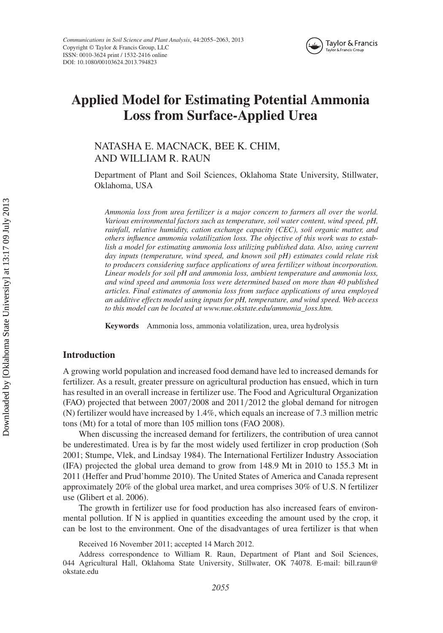

# **Applied Model for Estimating Potential Ammonia Loss from Surface-Applied Urea**

# NATASHA E. MACNACK, BEE K. CHIM, AND WILLIAM R. RAUN

Department of Plant and Soil Sciences, Oklahoma State University, Stillwater, Oklahoma, USA

*Ammonia loss from urea fertilizer is a major concern to farmers all over the world. Various environmental factors such as temperature, soil water content, wind speed, pH, rainfall, relative humidity, cation exchange capacity (CEC), soil organic matter, and others influence ammonia volatilization loss. The objective of this work was to establish a model for estimating ammonia loss utilizing published data. Also, using current day inputs (temperature, wind speed, and known soil pH) estimates could relate risk to producers considering surface applications of urea fertilizer without incorporation. Linear models for soil pH and ammonia loss, ambient temperature and ammonia loss, and wind speed and ammonia loss were determined based on more than 40 published articles. Final estimates of ammonia loss from surface applications of urea employed an additive effects model using inputs for pH, temperature, and wind speed. Web access to this model can be located at www.nue.okstate.edu/ammonia\_loss.htm.*

**Keywords** Ammonia loss, ammonia volatilization, urea, urea hydrolysis

# **Introduction**

A growing world population and increased food demand have led to increased demands for fertilizer. As a result, greater pressure on agricultural production has ensued, which in turn has resulted in an overall increase in fertilizer use. The Food and Agricultural Organization (FAO) projected that between 2007*/*2008 and 2011*/*2012 the global demand for nitrogen (N) fertilizer would have increased by 1.4%, which equals an increase of 7.3 million metric tons (Mt) for a total of more than 105 million tons (FAO 2008).

When discussing the increased demand for fertilizers, the contribution of urea cannot be underestimated. Urea is by far the most widely used fertilizer in crop production (Soh 2001; Stumpe, Vlek, and Lindsay 1984). The International Fertilizer Industry Association (IFA) projected the global urea demand to grow from 148.9 Mt in 2010 to 155.3 Mt in 2011 (Heffer and Prud'homme 2010). The United States of America and Canada represent approximately 20% of the global urea market, and urea comprises 30% of U.S. N fertilizer use (Glibert et al. 2006).

The growth in fertilizer use for food production has also increased fears of environmental pollution. If N is applied in quantities exceeding the amount used by the crop, it can be lost to the environment. One of the disadvantages of urea fertilizer is that when

Received 16 November 2011; accepted 14 March 2012.

Address correspondence to William R. Raun, Department of Plant and Soil Sciences, 044 Agricultural Hall, Oklahoma State University, Stillwater, OK 74078. E-mail: bill.raun@ okstate.edu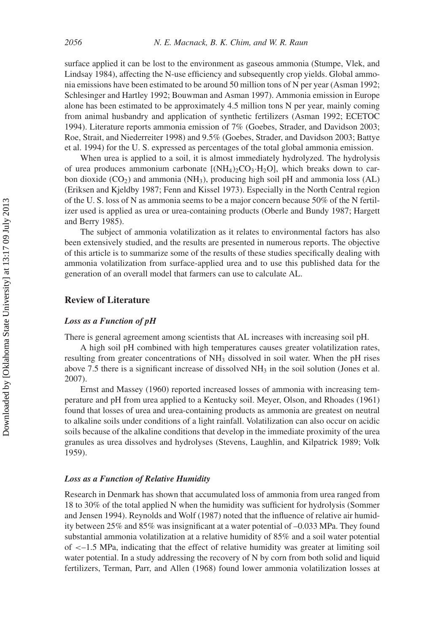surface applied it can be lost to the environment as gaseous ammonia (Stumpe, Vlek, and Lindsay 1984), affecting the N-use efficiency and subsequently crop yields. Global ammonia emissions have been estimated to be around 50 million tons of N per year (Asman 1992; Schlesinger and Hartley 1992; Bouwman and Asman 1997). Ammonia emission in Europe alone has been estimated to be approximately 4.5 million tons N per year, mainly coming from animal husbandry and application of synthetic fertilizers (Asman 1992; ECETOC 1994). Literature reports ammonia emission of 7% (Goebes, Strader, and Davidson 2003; Roe, Strait, and Niederreiter 1998) and 9.5% (Goebes, Strader, and Davidson 2003; Battye et al. 1994) for the U. S. expressed as percentages of the total global ammonia emission.

When urea is applied to a soil, it is almost immediately hydrolyzed. The hydrolysis of urea produces ammonium carbonate  $[(NH_4)_2CO_3·H_2O]$ , which breaks down to carbon dioxide  $(CO_2)$  and ammonia (NH<sub>3</sub>), producing high soil pH and ammonia loss (AL) (Eriksen and Kjeldby 1987; Fenn and Kissel 1973). Especially in the North Central region of the U. S. loss of N as ammonia seems to be a major concern because 50% of the N fertilizer used is applied as urea or urea-containing products (Oberle and Bundy 1987; Hargett and Berry 1985).

The subject of ammonia volatilization as it relates to environmental factors has also been extensively studied, and the results are presented in numerous reports. The objective of this article is to summarize some of the results of these studies specifically dealing with ammonia volatilization from surface-applied urea and to use this published data for the generation of an overall model that farmers can use to calculate AL.

# **Review of Literature**

## *Loss as a Function of pH*

There is general agreement among scientists that AL increases with increasing soil pH.

A high soil pH combined with high temperatures causes greater volatilization rates, resulting from greater concentrations of  $NH<sub>3</sub>$  dissolved in soil water. When the pH rises above 7.5 there is a significant increase of dissolved  $NH<sub>3</sub>$  in the soil solution (Jones et al. 2007).

Ernst and Massey (1960) reported increased losses of ammonia with increasing temperature and pH from urea applied to a Kentucky soil. Meyer, Olson, and Rhoades (1961) found that losses of urea and urea-containing products as ammonia are greatest on neutral to alkaline soils under conditions of a light rainfall. Volatilization can also occur on acidic soils because of the alkaline conditions that develop in the immediate proximity of the urea granules as urea dissolves and hydrolyses (Stevens, Laughlin, and Kilpatrick 1989; Volk 1959).

# *Loss as a Function of Relative Humidity*

Research in Denmark has shown that accumulated loss of ammonia from urea ranged from 18 to 30% of the total applied N when the humidity was sufficient for hydrolysis (Sommer and Jensen 1994). Reynolds and Wolf (1987) noted that the influence of relative air humidity between 25% and 85% was insignificant at a water potential of –0.033 MPa. They found substantial ammonia volatilization at a relative humidity of 85% and a soil water potential of *<*–1.5 MPa, indicating that the effect of relative humidity was greater at limiting soil water potential. In a study addressing the recovery of N by corn from both solid and liquid fertilizers, Terman, Parr, and Allen (1968) found lower ammonia volatilization losses at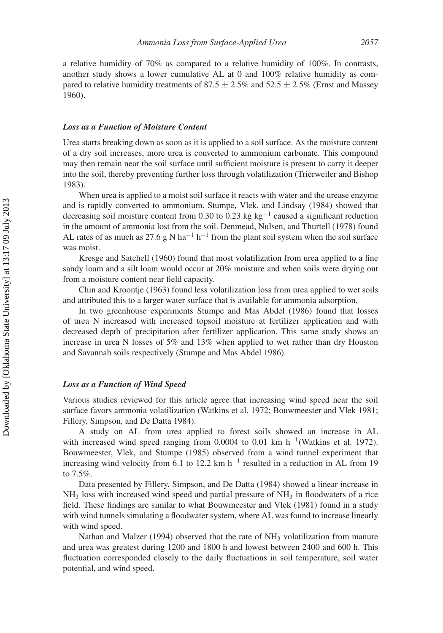a relative humidity of 70% as compared to a relative humidity of 100%. In contrasts, another study shows a lower cumulative AL at 0 and 100% relative humidity as compared to relative humidity treatments of 87.5  $\pm$  2.5% and 52.5  $\pm$  2.5% (Ernst and Massey 1960).

#### *Loss as a Function of Moisture Content*

Urea starts breaking down as soon as it is applied to a soil surface. As the moisture content of a dry soil increases, more urea is converted to ammonium carbonate. This compound may then remain near the soil surface until sufficient moisture is present to carry it deeper into the soil, thereby preventing further loss through volatilization (Trierweiler and Bishop 1983).

When urea is applied to a moist soil surface it reacts with water and the urease enzyme and is rapidly converted to ammonium. Stumpe, Vlek, and Lindsay (1984) showed that decreasing soil moisture content from 0.30 to 0.23 kg kg−<sup>1</sup> caused a significant reduction in the amount of ammonia lost from the soil. Denmead, Nulsen, and Thurtell (1978) found AL rates of as much as 27.6 g N ha<sup>-1</sup> h<sup>-1</sup> from the plant soil system when the soil surface was moist.

Kresge and Satchell (1960) found that most volatilization from urea applied to a fine sandy loam and a silt loam would occur at 20% moisture and when soils were drying out from a moisture content near field capacity.

Chin and Kroontje (1963) found less volatilization loss from urea applied to wet soils and attributed this to a larger water surface that is available for ammonia adsorption.

In two greenhouse experiments Stumpe and Mas Abdel (1986) found that losses of urea N increased with increased topsoil moisture at fertilizer application and with decreased depth of precipitation after fertilizer application. This same study shows an increase in urea N losses of 5% and 13% when applied to wet rather than dry Houston and Savannah soils respectively (Stumpe and Mas Abdel 1986).

## *Loss as a Function of Wind Speed*

Various studies reviewed for this article agree that increasing wind speed near the soil surface favors ammonia volatilization (Watkins et al. 1972; Bouwmeester and Vlek 1981; Fillery, Simpson, and De Datta 1984).

A study on AL from urea applied to forest soils showed an increase in AL with increased wind speed ranging from 0.0004 to 0.01 km h<sup>-1</sup>(Watkins et al. 1972). Bouwmeester, Vlek, and Stumpe (1985) observed from a wind tunnel experiment that increasing wind velocity from 6.1 to 12.2 km h<sup>-1</sup> resulted in a reduction in AL from 19 to 7.5%.

Data presented by Fillery, Simpson, and De Datta (1984) showed a linear increase in  $NH<sub>3</sub>$  loss with increased wind speed and partial pressure of  $NH<sub>3</sub>$  in floodwaters of a rice field. These findings are similar to what Bouwmeester and Vlek (1981) found in a study with wind tunnels simulating a floodwater system, where AL was found to increase linearly with wind speed.

Nathan and Malzer (1994) observed that the rate of NH<sub>3</sub> volatilization from manure and urea was greatest during 1200 and 1800 h and lowest between 2400 and 600 h. This fluctuation corresponded closely to the daily fluctuations in soil temperature, soil water potential, and wind speed.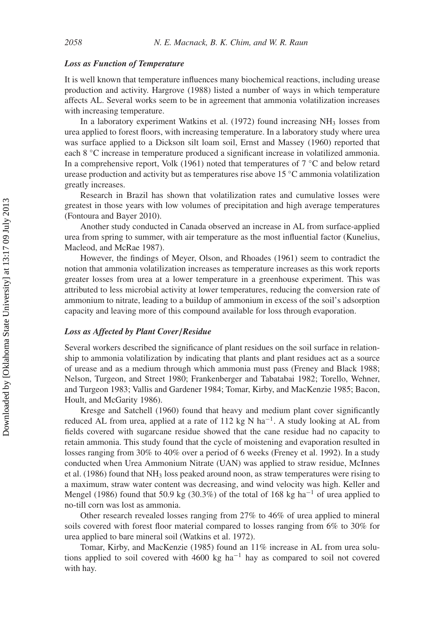### *Loss as Function of Temperature*

It is well known that temperature influences many biochemical reactions, including urease production and activity. Hargrove (1988) listed a number of ways in which temperature affects AL. Several works seem to be in agreement that ammonia volatilization increases with increasing temperature.

In a laboratory experiment Watkins et al.  $(1972)$  found increasing NH<sub>3</sub> losses from urea applied to forest floors, with increasing temperature. In a laboratory study where urea was surface applied to a Dickson silt loam soil, Ernst and Massey (1960) reported that each 8 ◦C increase in temperature produced a significant increase in volatilized ammonia. In a comprehensive report, Volk (1961) noted that temperatures of  $7 \degree C$  and below retard urease production and activity but as temperatures rise above 15 ◦C ammonia volatilization greatly increases.

Research in Brazil has shown that volatilization rates and cumulative losses were greatest in those years with low volumes of precipitation and high average temperatures (Fontoura and Bayer 2010).

Another study conducted in Canada observed an increase in AL from surface-applied urea from spring to summer, with air temperature as the most influential factor (Kunelius, Macleod, and McRae 1987).

However, the findings of Meyer, Olson, and Rhoades (1961) seem to contradict the notion that ammonia volatilization increases as temperature increases as this work reports greater losses from urea at a lower temperature in a greenhouse experiment. This was attributed to less microbial activity at lower temperatures, reducing the conversion rate of ammonium to nitrate, leading to a buildup of ammonium in excess of the soil's adsorption capacity and leaving more of this compound available for loss through evaporation.

# *Loss as Affected by Plant Cover/Residue*

Several workers described the significance of plant residues on the soil surface in relationship to ammonia volatilization by indicating that plants and plant residues act as a source of urease and as a medium through which ammonia must pass (Freney and Black 1988; Nelson, Turgeon, and Street 1980; Frankenberger and Tabatabai 1982; Torello, Wehner, and Turgeon 1983; Vallis and Gardener 1984; Tomar, Kirby, and MacKenzie 1985; Bacon, Hoult, and McGarity 1986).

Kresge and Satchell (1960) found that heavy and medium plant cover significantly reduced AL from urea, applied at a rate of 112 kg N ha<sup>-1</sup>. A study looking at AL from fields covered with sugarcane residue showed that the cane residue had no capacity to retain ammonia. This study found that the cycle of moistening and evaporation resulted in losses ranging from 30% to 40% over a period of 6 weeks (Freney et al. 1992). In a study conducted when Urea Ammonium Nitrate (UAN) was applied to straw residue, McInnes et al. (1986) found that  $NH_3$  loss peaked around noon, as straw temperatures were rising to a maximum, straw water content was decreasing, and wind velocity was high. Keller and Mengel (1986) found that 50.9 kg (30.3%) of the total of 168 kg ha<sup>-1</sup> of urea applied to no-till corn was lost as ammonia.

Other research revealed losses ranging from 27% to 46% of urea applied to mineral soils covered with forest floor material compared to losses ranging from 6% to 30% for urea applied to bare mineral soil (Watkins et al. 1972).

Tomar, Kirby, and MacKenzie (1985) found an 11% increase in AL from urea solutions applied to soil covered with 4600 kg ha−<sup>1</sup> hay as compared to soil not covered with hay.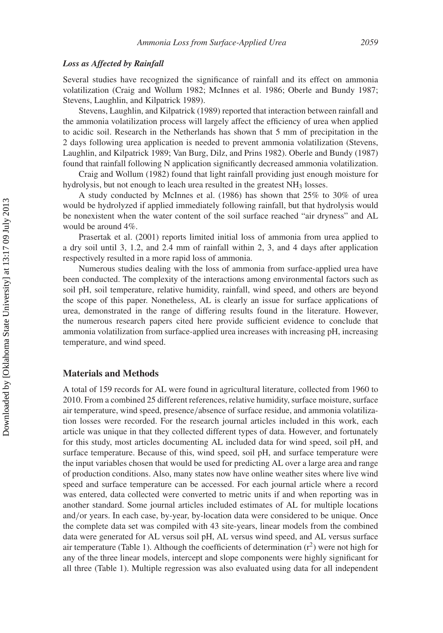#### *Loss as Affected by Rainfall*

Several studies have recognized the significance of rainfall and its effect on ammonia volatilization (Craig and Wollum 1982; McInnes et al. 1986; Oberle and Bundy 1987; Stevens, Laughlin, and Kilpatrick 1989).

Stevens, Laughlin, and Kilpatrick (1989) reported that interaction between rainfall and the ammonia volatilization process will largely affect the efficiency of urea when applied to acidic soil. Research in the Netherlands has shown that 5 mm of precipitation in the 2 days following urea application is needed to prevent ammonia volatilization (Stevens, Laughlin, and Kilpatrick 1989; Van Burg, Dilz, and Prins 1982). Oberle and Bundy (1987) found that rainfall following N application significantly decreased ammonia volatilization.

Craig and Wollum (1982) found that light rainfall providing just enough moisture for hydrolysis, but not enough to leach urea resulted in the greatest NH<sub>3</sub> losses.

A study conducted by McInnes et al. (1986) has shown that 25% to 30% of urea would be hydrolyzed if applied immediately following rainfall, but that hydrolysis would be nonexistent when the water content of the soil surface reached "air dryness" and AL would be around 4%.

Prasertak et al. (2001) reports limited initial loss of ammonia from urea applied to a dry soil until 3, 1.2, and 2.4 mm of rainfall within 2, 3, and 4 days after application respectively resulted in a more rapid loss of ammonia.

Numerous studies dealing with the loss of ammonia from surface-applied urea have been conducted. The complexity of the interactions among environmental factors such as soil pH, soil temperature, relative humidity, rainfall, wind speed, and others are beyond the scope of this paper. Nonetheless, AL is clearly an issue for surface applications of urea, demonstrated in the range of differing results found in the literature. However, the numerous research papers cited here provide sufficient evidence to conclude that ammonia volatilization from surface-applied urea increases with increasing pH, increasing temperature, and wind speed.

## **Materials and Methods**

A total of 159 records for AL were found in agricultural literature, collected from 1960 to 2010. From a combined 25 different references, relative humidity, surface moisture, surface air temperature, wind speed, presence*/*absence of surface residue, and ammonia volatilization losses were recorded. For the research journal articles included in this work, each article was unique in that they collected different types of data. However, and fortunately for this study, most articles documenting AL included data for wind speed, soil pH, and surface temperature. Because of this, wind speed, soil pH, and surface temperature were the input variables chosen that would be used for predicting AL over a large area and range of production conditions. Also, many states now have online weather sites where live wind speed and surface temperature can be accessed. For each journal article where a record was entered, data collected were converted to metric units if and when reporting was in another standard. Some journal articles included estimates of AL for multiple locations and*/*or years. In each case, by-year, by-location data were considered to be unique. Once the complete data set was compiled with 43 site-years, linear models from the combined data were generated for AL versus soil pH, AL versus wind speed, and AL versus surface air temperature (Table 1). Although the coefficients of determination  $(r^2)$  were not high for any of the three linear models, intercept and slope components were highly significant for all three (Table 1). Multiple regression was also evaluated using data for all independent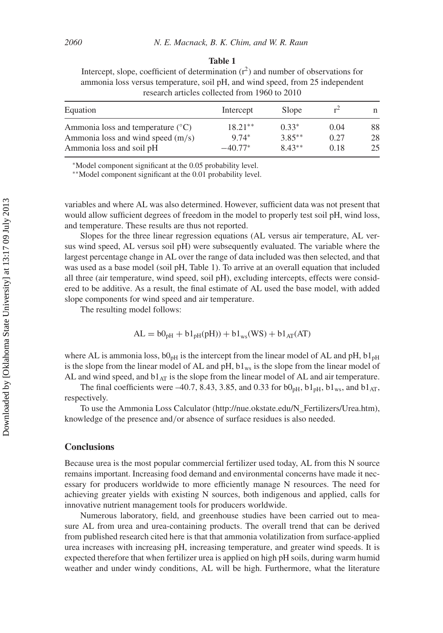#### **Table 1**

Intercept, slope, coefficient of determination  $(r^2)$  and number of observations for ammonia loss versus temperature, soil pH, and wind speed, from 25 independent research articles collected from 1960 to 2010

| Equation                                                                            | Intercept            | Slope               | $r^2$        | n        |
|-------------------------------------------------------------------------------------|----------------------|---------------------|--------------|----------|
| Ammonia loss and temperature $({}^{\circ}C)$<br>Ammonia loss and wind speed $(m/s)$ | $18.21**$<br>$9.74*$ | $0.33*$<br>$3.85**$ | 0.04<br>0.27 | 88<br>28 |
| Ammonia loss and soil pH                                                            | $-40.77*$            | $8.43**$            | 0.18         | 25       |

<sup>∗</sup>Model component significant at the 0.05 probability level.

∗∗Model component significant at the 0.01 probability level.

variables and where AL was also determined. However, sufficient data was not present that would allow sufficient degrees of freedom in the model to properly test soil pH, wind loss, and temperature. These results are thus not reported.

Slopes for the three linear regression equations (AL versus air temperature, AL versus wind speed, AL versus soil pH) were subsequently evaluated. The variable where the largest percentage change in AL over the range of data included was then selected, and that was used as a base model (soil pH, Table 1). To arrive at an overall equation that included all three (air temperature, wind speed, soil pH), excluding intercepts, effects were considered to be additive. As a result, the final estimate of AL used the base model, with added slope components for wind speed and air temperature.

The resulting model follows:

$$
AL = b0pH + b1pH(pH)) + b1ws(WS) + b1AT(AT)
$$

where AL is ammonia loss,  $b0_{pH}$  is the intercept from the linear model of AL and pH,  $b1_{pH}$ is the slope from the linear model of AL and  $pH$ ,  $b1_{ws}$  is the slope from the linear model of AL and wind speed, and  $b1_{AT}$  is the slope from the linear model of AL and air temperature.

The final coefficients were  $-40.7$ , 8.43, 3.85, and 0.33 for  $b0_{pH}$ ,  $b1_{pH}$ ,  $b1_{ws}$ , and  $b1_{AT}$ , respectively.

To use the Ammonia Loss Calculator (http://nue.okstate.edu/N\_Fertilizers/Urea.htm), knowledge of the presence and*/*or absence of surface residues is also needed.

# **Conclusions**

Because urea is the most popular commercial fertilizer used today, AL from this N source remains important. Increasing food demand and environmental concerns have made it necessary for producers worldwide to more efficiently manage N resources. The need for achieving greater yields with existing N sources, both indigenous and applied, calls for innovative nutrient management tools for producers worldwide.

Numerous laboratory, field, and greenhouse studies have been carried out to measure AL from urea and urea-containing products. The overall trend that can be derived from published research cited here is that that ammonia volatilization from surface-applied urea increases with increasing pH, increasing temperature, and greater wind speeds. It is expected therefore that when fertilizer urea is applied on high pH soils, during warm humid weather and under windy conditions, AL will be high. Furthermore, what the literature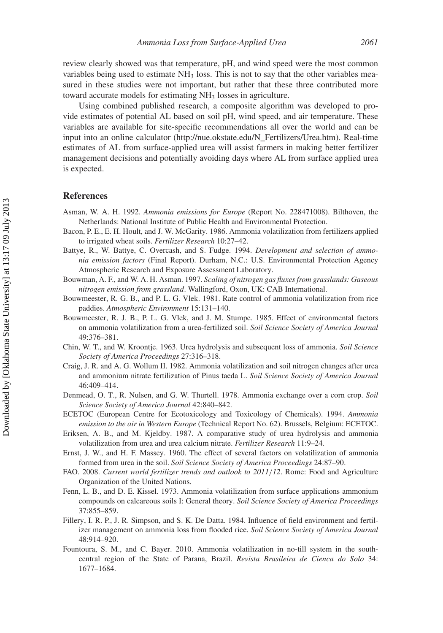review clearly showed was that temperature, pH, and wind speed were the most common variables being used to estimate  $NH<sub>3</sub>$  loss. This is not to say that the other variables measured in these studies were not important, but rather that these three contributed more toward accurate models for estimating NH<sub>3</sub> losses in agriculture.

Using combined published research, a composite algorithm was developed to provide estimates of potential AL based on soil pH, wind speed, and air temperature. These variables are available for site-specific recommendations all over the world and can be input into an online calculator (http://nue.okstate.edu/N\_Fertilizers/Urea.htm). Real-time estimates of AL from surface-applied urea will assist farmers in making better fertilizer management decisions and potentially avoiding days where AL from surface applied urea is expected.

## **References**

- Asman, W. A. H. 1992. *Ammonia emissions for Europe* (Report No. 228471008). Bilthoven, the Netherlands: National Institute of Public Health and Environmental Protection.
- Bacon, P. E., E. H. Hoult, and J. W. McGarity. 1986. Ammonia volatilization from fertilizers applied to irrigated wheat soils. *Fertilizer Research* 10:27–42.
- Battye, R., W. Battye, C. Overcash, and S. Fudge. 1994. *Development and selection of ammonia emission factors* (Final Report). Durham, N.C.: U.S. Environmental Protection Agency Atmospheric Research and Exposure Assessment Laboratory.
- Bouwman, A. F., and W. A. H. Asman. 1997. *Scaling of nitrogen gas fluxes from grasslands: Gaseous nitrogen emission from grassland*. Wallingford, Oxon, UK: CAB International.
- Bouwmeester, R. G. B., and P. L. G. Vlek. 1981. Rate control of ammonia volatilization from rice paddies. *Atmospheric Environment* 15:131–140.
- Bouwmeester, R. J. B., P. L. G. Vlek, and J. M. Stumpe. 1985. Effect of environmental factors on ammonia volatilization from a urea-fertilized soil. *Soil Science Society of America Journal* 49:376–381.
- Chin, W. T., and W. Kroontje. 1963. Urea hydrolysis and subsequent loss of ammonia. *Soil Science Society of America Proceedings* 27:316–318.
- Craig, J. R. and A. G. Wollum II. 1982. Ammonia volatilization and soil nitrogen changes after urea and ammonium nitrate fertilization of Pinus taeda L. *Soil Science Society of America Journal* 46:409–414.
- Denmead, O. T., R. Nulsen, and G. W. Thurtell. 1978. Ammonia exchange over a corn crop. *Soil Science Society of America Journal* 42:840–842.
- ECETOC (European Centre for Ecotoxicology and Toxicology of Chemicals). 1994. *Ammonia emission to the air in Western Europe* (Technical Report No. 62). Brussels, Belgium: ECETOC.
- Eriksen, A. B., and M. Kjeldby. 1987. A comparative study of urea hydrolysis and ammonia volatilization from urea and urea calcium nitrate. *Fertilizer Research* 11:9–24.
- Ernst, J. W., and H. F. Massey. 1960. The effect of several factors on volatilization of ammonia formed from urea in the soil. *Soil Science Society of America Proceedings* 24:87–90.
- FAO. 2008. *Current world fertilizer trends and outlook to 2011/12*. Rome: Food and Agriculture Organization of the United Nations.
- Fenn, L. B., and D. E. Kissel. 1973. Ammonia volatilization from surface applications ammonium compounds on calcareous soils I: General theory. *Soil Science Society of America Proceedings* 37:855–859.
- Fillery, I. R. P., J. R. Simpson, and S. K. De Datta. 1984. Influence of field environment and fertilizer management on ammonia loss from flooded rice. *Soil Science Society of America Journal* 48:914–920.
- Fountoura, S. M., and C. Bayer. 2010. Ammonia volatilization in no-till system in the southcentral region of the State of Parana, Brazil. *Revista Brasileira de Cienca do Solo* 34: 1677–1684.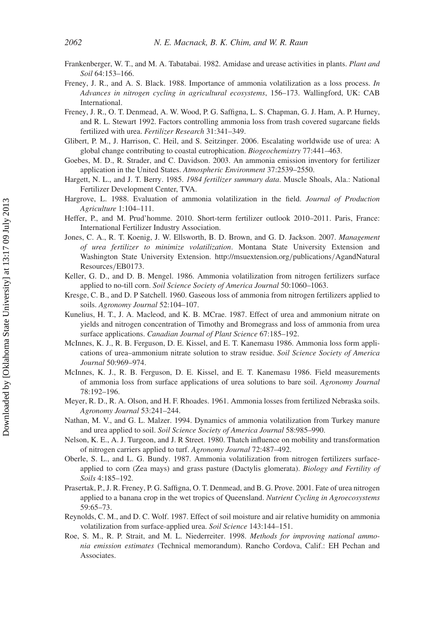- Frankenberger, W. T., and M. A. Tabatabai. 1982. Amidase and urease activities in plants. *Plant and Soil* 64:153–166.
- Freney, J. R., and A. S. Black. 1988. Importance of ammonia volatilization as a loss process. *In Advances in nitrogen cycling in agricultural ecosystems*, 156–173. Wallingford, UK: CAB International.
- Freney, J. R., O. T. Denmead, A. W. Wood, P. G. Saffigna, L. S. Chapman, G. J. Ham, A. P. Hurney, and R. L. Stewart 1992. Factors controlling ammonia loss from trash covered sugarcane fields fertilized with urea. *Fertilizer Research* 31:341–349.
- Glibert, P. M., J. Harrison, C. Heil, and S. Seitzinger. 2006. Escalating worldwide use of urea: A global change contributing to coastal eutrophication. *Biogeochemistry* 77:441–463.
- Goebes, M. D., R. Strader, and C. Davidson. 2003. An ammonia emission inventory for fertilizer application in the United States. *Atmospheric Environment* 37:2539–2550.
- Hargett, N. L., and J. T. Berry. 1985. *1984 fertilizer summary data*. Muscle Shoals, Ala.: National Fertilizer Development Center, TVA.
- Hargrove, L. 1988. Evaluation of ammonia volatilization in the field. *Journal of Production Agriculture* 1:104–111.
- Heffer, P., and M. Prud'homme. 2010. Short-term fertilizer outlook 2010–2011. Paris, France: International Fertilizer Industry Association.
- Jones, C. A., R. T. Koenig, J. W. Ellsworth, B. D. Brown, and G. D. Jackson. 2007. *Management of urea fertilizer to minimize volatilization*. Montana State University Extension and Washington State University Extension. http://msuextension.org*/*publications*/*AgandNatural Resources*/*EB0173.
- Keller, G. D., and D. B. Mengel. 1986. Ammonia volatilization from nitrogen fertilizers surface applied to no-till corn. *Soil Science Society of America Journal* 50:1060–1063.
- Kresge, C. B., and D. P Satchell. 1960. Gaseous loss of ammonia from nitrogen fertilizers applied to soils. *Agronomy Journal* 52:104–107.
- Kunelius, H. T., J. A. Macleod, and K. B. MCrae. 1987. Effect of urea and ammonium nitrate on yields and nitrogen concentration of Timothy and Bromegrass and loss of ammonia from urea surface applications. *Canadian Journal of Plant Science* 67:185–192.
- McInnes, K. J., R. B. Ferguson, D. E. Kissel, and E. T. Kanemasu 1986. Ammonia loss form applications of urea–ammonium nitrate solution to straw residue. *Soil Science Society of America Journal* 50:969–974.
- McInnes, K. J., R. B. Ferguson, D. E. Kissel, and E. T. Kanemasu 1986. Field measurements of ammonia loss from surface applications of urea solutions to bare soil. *Agronomy Journal* 78:192–196.
- Meyer, R. D., R. A. Olson, and H. F. Rhoades. 1961. Ammonia losses from fertilized Nebraska soils. *Agronomy Journal* 53:241–244.
- Nathan, M. V., and G. L. Malzer. 1994. Dynamics of ammonia volatilization from Turkey manure and urea applied to soil. *Soil Science Society of America Journal* 58:985–990.
- Nelson, K. E., A. J. Turgeon, and J. R Street. 1980. Thatch influence on mobility and transformation of nitrogen carriers applied to turf. *Agronomy Journal* 72:487–492.
- Oberle, S. L., and L. G. Bundy. 1987. Ammonia volatilization from nitrogen fertilizers surfaceapplied to corn (Zea mays) and grass pasture (Dactylis glomerata). *Biology and Fertility of Soils* 4:185–192.
- Prasertak, P., J. R. Freney, P. G. Saffigna, O. T. Denmead, and B. G. Prove. 2001. Fate of urea nitrogen applied to a banana crop in the wet tropics of Queensland. *Nutrient Cycling in Agroecosystems* 59:65–73.
- Reynolds, C. M., and D. C. Wolf. 1987. Effect of soil moisture and air relative humidity on ammonia volatilization from surface-applied urea. *Soil Science* 143:144–151.
- Roe, S. M., R. P. Strait, and M. L. Niederreiter. 1998. *Methods for improving national ammonia emission estimates* (Technical memorandum). Rancho Cordova, Calif.: EH Pechan and Associates.